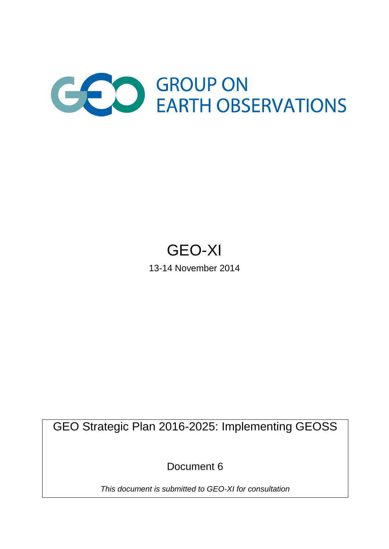

# GEO-XI

13-14 November 2014

GEO Strategic Plan 2016-2025: Implementing GEOSS

Document 6

*This document is submitted to GEO-XI for consultation*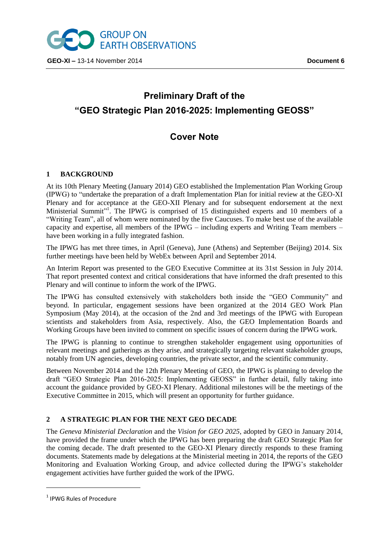



**GEO-XI –** 13-14 November 2014 **Document 6**

# **Preliminary Draft of the "GEO Strategic Plan 2016-2025: Implementing GEOSS"**

# **Cover Note**

# **1 BACKGROUND**

At its 10th Plenary Meeting (January 2014) GEO established the Implementation Plan Working Group (IPWG) to "undertake the preparation of a draft Implementation Plan for initial review at the GEO-XI Plenary and for acceptance at the GEO-XII Plenary and for subsequent endorsement at the next Ministerial Summit"<sup>1</sup>. The IPWG is comprised of 15 distinguished experts and 10 members of a "Writing Team", all of whom were nominated by the five Caucuses. To make best use of the available capacity and expertise, all members of the IPWG – including experts and Writing Team members – have been working in a fully integrated fashion.

The IPWG has met three times, in April (Geneva), June (Athens) and September (Beijing) 2014. Six further meetings have been held by WebEx between April and September 2014.

An Interim Report was presented to the GEO Executive Committee at its 31st Session in July 2014. That report presented context and critical considerations that have informed the draft presented to this Plenary and will continue to inform the work of the IPWG.

The IPWG has consulted extensively with stakeholders both inside the "GEO Community" and beyond. In particular, engagement sessions have been organized at the 2014 GEO Work Plan Symposium (May 2014), at the occasion of the 2nd and 3rd meetings of the IPWG with European scientists and stakeholders from Asia, respectively. Also, the GEO Implementation Boards and Working Groups have been invited to comment on specific issues of concern during the IPWG work.

The IPWG is planning to continue to strengthen stakeholder engagement using opportunities of relevant meetings and gatherings as they arise, and strategically targeting relevant stakeholder groups, notably from UN agencies, developing countries, the private sector, and the scientific community.

Between November 2014 and the 12th Plenary Meeting of GEO, the IPWG is planning to develop the draft "GEO Strategic Plan 2016-2025: Implementing GEOSS" in further detail, fully taking into account the guidance provided by GEO-XI Plenary. Additional milestones will be the meetings of the Executive Committee in 2015, which will present an opportunity for further guidance.

# **2 A STRATEGIC PLAN FOR THE NEXT GEO DECADE**

The *Geneva Ministerial Declaration* and the *Vision for GEO 2025*, adopted by GEO in January 2014, have provided the frame under which the IPWG has been preparing the draft GEO Strategic Plan for the coming decade. The draft presented to the GEO-XI Plenary directly responds to these framing documents. Statements made by delegations at the Ministerial meeting in 2014, the reports of the GEO Monitoring and Evaluation Working Group, and advice collected during the IPWG"s stakeholder engagement activities have further guided the work of the IPWG.

l

 $^{1}$  IPWG Rules of Procedure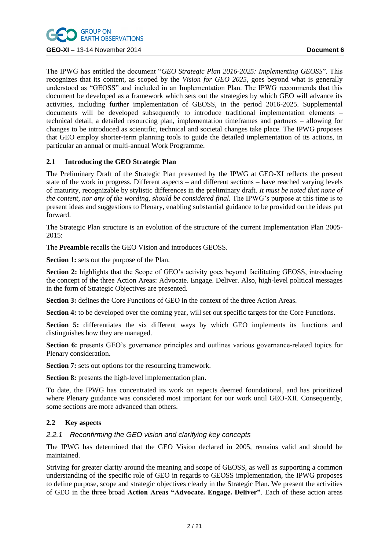The IPWG has entitled the document "*GEO Strategic Plan 2016-2025: Implementing GEOSS*". This recognizes that its content, as scoped by the *Vision for GEO 2025*, goes beyond what is generally understood as "GEOSS" and included in an Implementation Plan. The IPWG recommends that this document be developed as a framework which sets out the strategies by which GEO will advance its activities, including further implementation of GEOSS, in the period 2016-2025. Supplemental documents will be developed subsequently to introduce traditional implementation elements – technical detail, a detailed resourcing plan, implementation timeframes and partners – allowing for changes to be introduced as scientific, technical and societal changes take place. The IPWG proposes that GEO employ shorter-term planning tools to guide the detailed implementation of its actions, in particular an annual or multi-annual Work Programme.

# **2.1 Introducing the GEO Strategic Plan**

The Preliminary Draft of the Strategic Plan presented by the IPWG at GEO-XI reflects the present state of the work in progress. Different aspects – and different sections – have reached varying levels of maturity, recognizable by stylistic differences in the preliminary draft*. It must be noted that none of the content, nor any of the wording, should be considered final.* The IPWG"s purpose at this time is to present ideas and suggestions to Plenary, enabling substantial guidance to be provided on the ideas put forward.

The Strategic Plan structure is an evolution of the structure of the current Implementation Plan 2005- 2015:

The **Preamble** recalls the GEO Vision and introduces GEOSS.

**Section 1:** sets out the purpose of the Plan.

**Section 2:** highlights that the Scope of GEO"s activity goes beyond facilitating GEOSS, introducing the concept of the three Action Areas: Advocate. Engage. Deliver. Also, high-level political messages in the form of Strategic Objectives are presented.

**Section 3:** defines the Core Functions of GEO in the context of the three Action Areas.

**Section 4:** to be developed over the coming year, will set out specific targets for the Core Functions.

**Section 5:** differentiates the six different ways by which GEO implements its functions and distinguishes how they are managed.

**Section 6:** presents GEO's governance principles and outlines various governance-related topics for Plenary consideration.

**Section 7:** sets out options for the resourcing framework.

**Section 8:** presents the high-level implementation plan.

To date, the IPWG has concentrated its work on aspects deemed foundational, and has prioritized where Plenary guidance was considered most important for our work until GEO-XII. Consequently, some sections are more advanced than others.

#### **2.2 Key aspects**

#### *2.2.1 Reconfirming the GEO vision and clarifying key concepts*

The IPWG has determined that the GEO Vision declared in 2005, remains valid and should be maintained.

Striving for greater clarity around the meaning and scope of GEOSS, as well as supporting a common understanding of the specific role of GEO in regards to GEOSS implementation, the IPWG proposes to define purpose, scope and strategic objectives clearly in the Strategic Plan. We present the activities of GEO in the three broad **Action Areas "Advocate. Engage. Deliver"**. Each of these action areas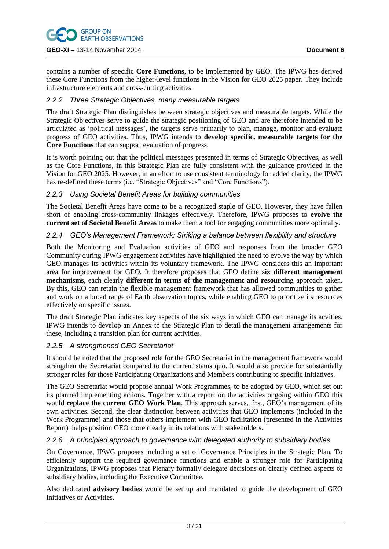contains a number of specific **Core Functions**, to be implemented by GEO. The IPWG has derived these Core Functions from the higher-level functions in the Vision for GEO 2025 paper. They include infrastructure elements and cross-cutting activities.

#### *2.2.2 Three Strategic Objectives, many measurable targets*

The draft Strategic Plan distinguishes between strategic objectives and measurable targets. While the Strategic Objectives serve to guide the strategic positioning of GEO and are therefore intended to be articulated as 'political messages', the targets serve primarily to plan, manage, monitor and evaluate progress of GEO activities. Thus, IPWG intends to **develop specific, measurable targets for the Core Functions** that can support evaluation of progress.

It is worth pointing out that the political messages presented in terms of Strategic Objectives, as well as the Core Functions, in this Strategic Plan are fully consistent with the guidance provided in the Vision for GEO 2025. However, in an effort to use consistent terminology for added clarity, the IPWG has re-defined these terms (i.e. "Strategic Objectives" and "Core Functions").

#### *2.2.3 Using Societal Benefit Areas for building communities*

The Societal Benefit Areas have come to be a recognized staple of GEO. However, they have fallen short of enabling cross-community linkages effectively. Therefore, IPWG proposes to **evolve the current set of Societal Benefit Areas** to make them a tool for engaging communities more optimally.

#### *2.2.4 GEO's Management Framework: Striking a balance between flexibility and structure*

Both the Monitoring and Evaluation activities of GEO and responses from the broader GEO Community during IPWG engagement activities have highlighted the need to evolve the way by which GEO manages its activities within its voluntary framework. The IPWG considers this an important area for improvement for GEO. It therefore proposes that GEO define **six different management mechanisms**, each clearly **different in terms of the management and resourcing** approach taken. By this, GEO can retain the flexible management framework that has allowed communities to gather and work on a broad range of Earth observation topics, while enabling GEO to prioritize its resources effectively on specific issues.

The draft Strategic Plan indicates key aspects of the six ways in which GEO can manage its acvities. IPWG intends to develop an Annex to the Strategic Plan to detail the management arrangements for these, including a transition plan for current activities.

# *2.2.5 A strengthened GEO Secretariat*

It should be noted that the proposed role for the GEO Secretariat in the management framework would strengthen the Secretariat compared to the current status quo. It would also provide for substantially stronger roles for those Participating Organizations and Members contributing to specific Initiatives.

The GEO Secretariat would propose annual Work Programmes, to be adopted by GEO, which set out its planned implementing actions. Together with a report on the activities ongoing within GEO this would **replace the current GEO Work Plan**. This approach serves, first, GEO"s management of its own activities. Second, the clear distinction between activities that GEO implements (included in the Work Programme) and those that others implement with GEO facilitation (presented in the Activities Report) helps position GEO more clearly in its relations with stakeholders.

# *2.2.6 A principled approach to governance with delegated authority to subsidiary bodies*

On Governance, IPWG proposes including a set of Governance Principles in the Strategic Plan. To efficiently support the required governance functions and enable a stronger role for Participating Organizations, IPWG proposes that Plenary formally delegate decisions on clearly defined aspects to subsidiary bodies, including the Executive Committee.

Also dedicated **advisory bodies** would be set up and mandated to guide the development of GEO Initiatives or Activities.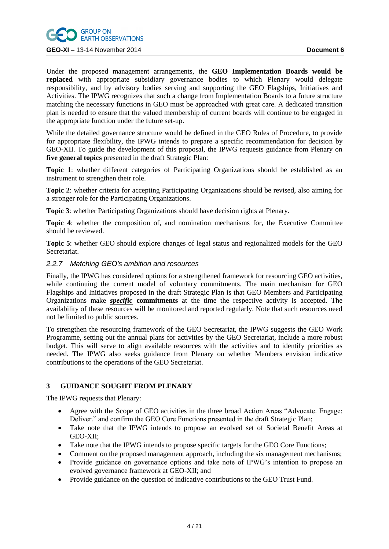Under the proposed management arrangements, the **GEO Implementation Boards would be replaced** with appropriate subsidiary governance bodies to which Plenary would delegate responsibility, and by advisory bodies serving and supporting the GEO Flagships, Initiatives and Activities. The IPWG recognizes that such a change from Implementation Boards to a future structure matching the necessary functions in GEO must be approached with great care. A dedicated transition plan is needed to ensure that the valued membership of current boards will continue to be engaged in the appropriate function under the future set-up.

While the detailed governance structure would be defined in the GEO Rules of Procedure, to provide for appropriate flexibility, the IPWG intends to prepare a specific recommendation for decision by GEO-XII. To guide the development of this proposal, the IPWG requests guidance from Plenary on **five general topics** presented in the draft Strategic Plan:

**Topic 1**: whether different categories of Participating Organizations should be established as an instrument to strengthen their role.

**Topic 2**: whether criteria for accepting Participating Organizations should be revised, also aiming for a stronger role for the Participating Organizations.

**Topic 3**: whether Participating Organizations should have decision rights at Plenary.

**Topic 4**: whether the composition of, and nomination mechanisms for, the Executive Committee should be reviewed.

**Topic 5**: whether GEO should explore changes of legal status and regionalized models for the GEO Secretariat.

#### *2.2.7 Matching GEO's ambition and resources*

Finally, the IPWG has considered options for a strengthened framework for resourcing GEO activities, while continuing the current model of voluntary commitments. The main mechanism for GEO Flagships and Initiatives proposed in the draft Strategic Plan is that GEO Members and Participating Organizations make *specific* **commitments** at the time the respective activity is accepted. The availability of these resources will be monitored and reported regularly. Note that such resources need not be limited to public sources.

To strengthen the resourcing framework of the GEO Secretariat, the IPWG suggests the GEO Work Programme, setting out the annual plans for activities by the GEO Secretariat, include a more robust budget. This will serve to align available resources with the activities and to identify priorities as needed. The IPWG also seeks guidance from Plenary on whether Members envision indicative contributions to the operations of the GEO Secretariat.

# **3 GUIDANCE SOUGHT FROM PLENARY**

The IPWG requests that Plenary:

- Agree with the Scope of GEO activities in the three broad Action Areas "Advocate. Engage; Deliver." and confirm the GEO Core Functions presented in the draft Strategic Plan;
- Take note that the IPWG intends to propose an evolved set of Societal Benefit Areas at GEO-XII;
- Take note that the IPWG intends to propose specific targets for the GEO Core Functions;
- Comment on the proposed management approach, including the six management mechanisms;
- Provide guidance on governance options and take note of IPWG's intention to propose an evolved governance framework at GEO-XII; and
- Provide guidance on the question of indicative contributions to the GEO Trust Fund.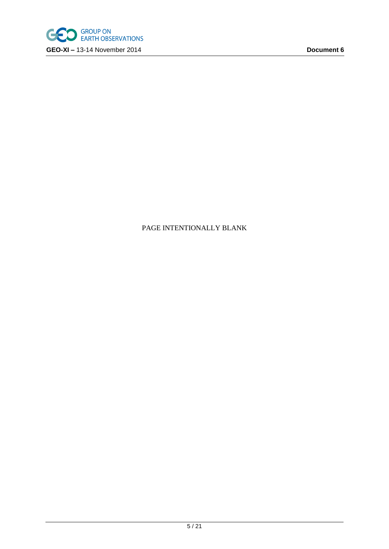

# PAGE INTENTIONALLY BLANK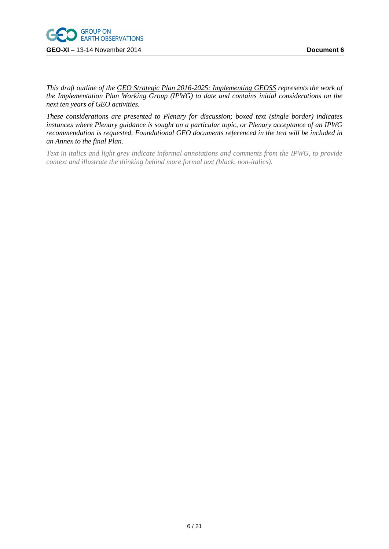

*This draft outline of the GEO Strategic Plan 2016-2025: Implementing GEOSS represents the work of the Implementation Plan Working Group (IPWG) to date and contains initial considerations on the next ten years of GEO activities.* 

*These considerations are presented to Plenary for discussion; boxed text (single border) indicates instances where Plenary guidance is sought on a particular topic, or Plenary acceptance of an IPWG recommendation is requested. Foundational GEO documents referenced in the text will be included in an Annex to the final Plan.*

*Text in italics and light grey indicate informal annotations and comments from the IPWG, to provide context and illustrate the thinking behind more formal text (black, non-italics).*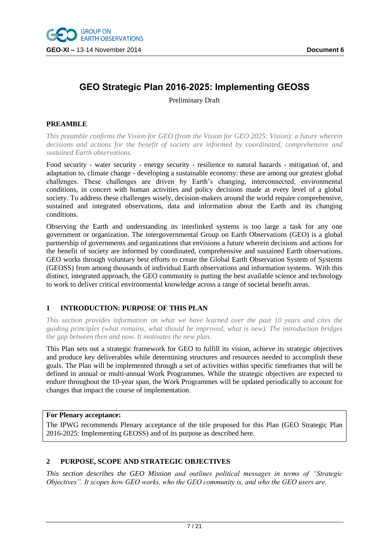

# **GEO Strategic Plan 2016-2025: Implementing GEOSS**

Preliminary Draft

#### **PREAMBLE**

*This preamble confirms the Vision for GEO (from the Vision for GEO 2025: Vision): a future wherein decisions and actions for the benefit of society are informed by coordinated, comprehensive and sustained Earth observations.*

Food security - water security - energy security - resilience to natural hazards - mitigation of, and adaptation to, climate change - developing a sustainable economy: these are among our greatest global challenges. These challenges are driven by Earth"s changing, interconnected, environmental conditions, in concert with human activities and policy decisions made at every level of a global society. To address these challenges wisely, decision-makers around the world require comprehensive, sustained and integrated observations, data and information about the Earth and its changing conditions.

Observing the Earth and understanding its interlinked systems is too large a task for any one government or organization. The intergovernmental Group on Earth Observations (GEO) is a global partnership of governments and organizations that envisions a future wherein decisions and actions for the benefit of society are informed by coordinated, comprehensive and sustained Earth observations. GEO works through voluntary best efforts to create the Global Earth Observation System of Systems (GEOSS) from among thousands of individual Earth observations and information systems. With this distinct, integrated approach, the GEO community is putting the best available science and technology to work to deliver critical environmental knowledge across a range of societal benefit areas.

#### **1 INTRODUCTION: PURPOSE OF THIS PLAN**

*This section provides information on what we have learned over the past 10 years and cites the guiding principles (what remains, what should be improved, what is new). The introduction bridges the gap between then and now. It motivates the new plan.*

This Plan sets out a strategic framework for GEO to fulfill its vision, achieve its strategic objectives and produce key deliverables while determining structures and resources needed to accomplish these goals. The Plan will be implemented through a set of activities within specific timeframes that will be defined in annual or multi-annual Work Programmes. While the strategic objectives are expected to endure throughout the 10-year span, the Work Programmes will be updated periodically to account for changes that impact the course of implementation.

#### **For Plenary acceptance:**

The IPWG recommends Plenary acceptance of the title proposed for this Plan (GEO Strategic Plan 2016-2025: Implementing GEOSS) and of its purpose as described here.

#### **2 PURPOSE, SCOPE AND STRATEGIC OBJECTIVES**

*This section describes the GEO Mission and outlines political messages in terms of "Strategic Objectives". It scopes how GEO works, who the GEO community is, and who the GEO users are.*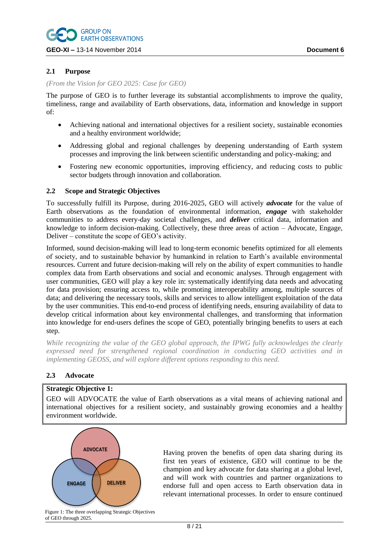# **2.1 Purpose**

*(From the Vision for GEO 2025: Case for GEO)*

The purpose of GEO is to further leverage its substantial accomplishments to improve the quality, timeliness, range and availability of Earth observations, data, information and knowledge in support of:

- Achieving national and international objectives for a resilient society, sustainable economies and a healthy environment worldwide;
- Addressing global and regional challenges by deepening understanding of Earth system processes and improving the link between scientific understanding and policy-making; and
- Fostering new economic opportunities, improving efficiency, and reducing costs to public sector budgets through innovation and collaboration.

#### **2.2 Scope and Strategic Objectives**

To successfully fulfill its Purpose, during 2016-2025, GEO will actively *advocate* for the value of Earth observations as the foundation of environmental information, *engage* with stakeholder communities to address every-day societal challenges, and *deliver* critical data, information and knowledge to inform decision-making. Collectively, these three areas of action – Advocate, Engage, Deliver – constitute the scope of GEO"s activity.

Informed, sound decision-making will lead to long-term economic benefits optimized for all elements of society, and to sustainable behavior by humankind in relation to Earth"s available environmental resources. Current and future decision-making will rely on the ability of expert communities to handle complex data from Earth observations and social and economic analyses. Through engagement with user communities, GEO will play a key role in: systematically identifying data needs and advocating for data provision; ensuring access to, while promoting interoperability among, multiple sources of data; and delivering the necessary tools, skills and services to allow intelligent exploitation of the data by the user communities. This end-to-end process of identifying needs, ensuring availability of data to develop critical information about key environmental challenges, and transforming that information into knowledge for end-users defines the scope of GEO, potentially bringing benefits to users at each step.

*While recognizing the value of the GEO global approach, the IPWG fully acknowledges the clearly expressed need for strengthened regional coordination in conducting GEO activities and in implementing GEOSS, and will explore different options responding to this need.*

# **2.3 Advocate**

#### **Strategic Objective 1:**

GEO will ADVOCATE the value of Earth observations as a vital means of achieving national and international objectives for a resilient society, and sustainably growing economies and a healthy environment worldwide.



Having proven the benefits of open data sharing during its first ten years of existence, GEO will continue to be the champion and key advocate for data sharing at a global level, and will work with countries and partner organizations to endorse full and open access to Earth observation data in relevant international processes. In order to ensure continued

Figure 1: The three overlapping Strategic Objectives of GEO through 2025.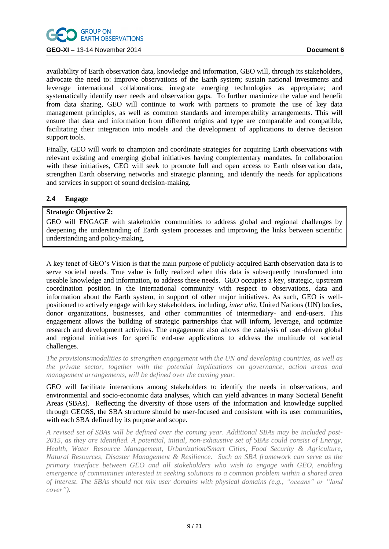availability of Earth observation data, knowledge and information, GEO will, through its stakeholders, advocate the need to: improve observations of the Earth system; sustain national investments and leverage international collaborations; integrate emerging technologies as appropriate; and systematically identify user needs and observation gaps. To further maximize the value and benefit from data sharing, GEO will continue to work with partners to promote the use of key data management principles, as well as common standards and interoperability arrangements. This will ensure that data and information from different origins and type are comparable and compatible, facilitating their integration into models and the development of applications to derive decision support tools.

Finally, GEO will work to champion and coordinate strategies for acquiring Earth observations with relevant existing and emerging global initiatives having complementary mandates. In collaboration with these initiatives, GEO will seek to promote full and open access to Earth observation data, strengthen Earth observing networks and strategic planning, and identify the needs for applications and services in support of sound decision-making.

#### **2.4 Engage**

## **Strategic Objective 2:**

GEO will ENGAGE with stakeholder communities to address global and regional challenges by deepening the understanding of Earth system processes and improving the links between scientific understanding and policy-making.

A key tenet of GEO"s Vision is that the main purpose of publicly-acquired Earth observation data is to serve societal needs. True value is fully realized when this data is subsequently transformed into useable knowledge and information, to address these needs. GEO occupies a key, strategic, upstream coordination position in the international community with respect to observations, data and information about the Earth system, in support of other major initiatives. As such, GEO is wellpositioned to actively engage with key stakeholders, including, *inter alia*, United Nations (UN) bodies, donor organizations, businesses, and other communities of intermediary- and end-users. This engagement allows the building of strategic partnerships that will inform, leverage, and optimize research and development activities. The engagement also allows the catalysis of user-driven global and regional initiatives for specific end-use applications to address the multitude of societal challenges.

*The provisions/modalities to strengthen engagement with the UN and developing countries, as well as the private sector, together with the potential implications on governance, action areas and management arrangements, will be defined over the coming year.*

GEO will facilitate interactions among stakeholders to identify the needs in observations, and environmental and socio-economic data analyses, which can yield advances in many Societal Benefit Areas (SBAs). Reflecting the diversity of those users of the information and knowledge supplied through GEOSS, the SBA structure should be user-focused and consistent with its user communities, with each SBA defined by its purpose and scope.

*A revised set of SBAs will be defined over the coming year. Additional SBAs may be included post-2015, as they are identified. A potential, initial, non-exhaustive set of SBAs could consist of Energy, Health, Water Resource Management, Urbanization/Smart Cities, Food Security & Agriculture, Natural Resources, Disaster Management & Resilience. Such an SBA framework can serve as the primary interface between GEO and all stakeholders who wish to engage with GEO, enabling emergence of communities interested in seeking solutions to a common problem within a shared area of interest. The SBAs should not mix user domains with physical domains (e.g., "oceans" or "land cover").*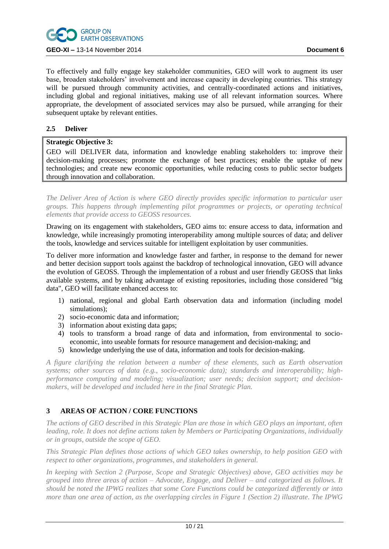To effectively and fully engage key stakeholder communities, GEO will work to augment its user base, broaden stakeholders" involvement and increase capacity in developing countries. This strategy will be pursued through community activities, and centrally-coordinated actions and initiatives, including global and regional initiatives, making use of all relevant information sources. Where appropriate, the development of associated services may also be pursued, while arranging for their subsequent uptake by relevant entities.

#### **2.5 Deliver**

# **Strategic Objective 3:**

GEO will DELIVER data, information and knowledge enabling stakeholders to: improve their decision-making processes; promote the exchange of best practices; enable the uptake of new technologies; and create new economic opportunities, while reducing costs to public sector budgets through innovation and collaboration.

*The Deliver Area of Action is where GEO directly provides specific information to particular user groups. This happens through implementing pilot programmes or projects, or operating technical elements that provide access to GEOSS resources.*

Drawing on its engagement with stakeholders, GEO aims to: ensure access to data, information and knowledge, while increasingly promoting interoperability among multiple sources of data; and deliver the tools, knowledge and services suitable for intelligent exploitation by user communities.

To deliver more information and knowledge faster and farther, in response to the demand for newer and better decision support tools against the backdrop of technological innovation, GEO will advance the evolution of GEOSS. Through the implementation of a robust and user friendly GEOSS that links available systems, and by taking advantage of existing repositories, including those considered "big data", GEO will facilitate enhanced access to:

- 1) national, regional and global Earth observation data and information (including model simulations);
- 2) socio-economic data and information;
- 3) information about existing data gaps;
- 4) tools to transform a broad range of data and information, from environmental to socioeconomic, into useable formats for resource management and decision-making; and
- 5) knowledge underlying the use of data, information and tools for decision-making.

*A figure clarifying the relation between a number of these elements, such as Earth observation systems; other sources of data (e.g., socio-economic data); standards and interoperability; highperformance computing and modeling; visualization; user needs; decision support; and decisionmakers, will be developed and included here in the final Strategic Plan.*

# **3 AREAS OF ACTION / CORE FUNCTIONS**

*The actions of GEO described in this Strategic Plan are those in which GEO plays an important, often leading, role. It does not define actions taken by Members or Participating Organizations, individually or in groups, outside the scope of GEO.* 

*This Strategic Plan defines those actions of which GEO takes ownership, to help position GEO with respect to other organizations, programmes, and stakeholders in general.*

*In keeping with Section 2 (Purpose, Scope and Strategic Objectives) above, GEO activities may be grouped into three areas of action – Advocate, Engage, and Deliver – and categorized as follows. It should be noted the IPWG realizes that some Core Functions could be categorized differently or into more than one area of action, as the overlapping circles in Figure 1 (Section 2) illustrate. The IPWG*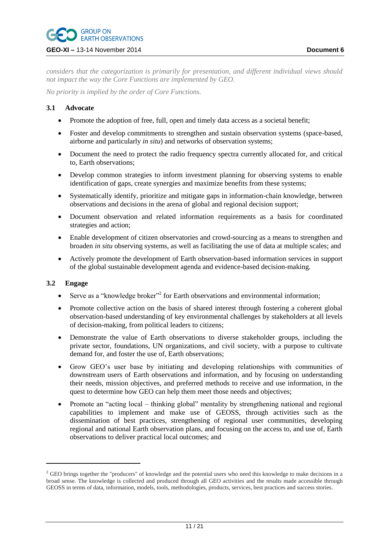

*considers that the categorization is primarily for presentation, and different individual views should not impact the way the Core Functions are implemented by GEO.*

*No priority is implied by the order of Core Functions.*

# **3.1 Advocate**

- Promote the adoption of free, full, open and timely data access as a societal benefit;
- Foster and develop commitments to strengthen and sustain observation systems (space-based, airborne and particularly *in situ*) and networks of observation systems;
- Document the need to protect the radio frequency spectra currently allocated for, and critical to, Earth observations;
- Develop common strategies to inform investment planning for observing systems to enable identification of gaps, create synergies and maximize benefits from these systems;
- Systematically identify, prioritize and mitigate gaps in information-chain knowledge, between observations and decisions in the arena of global and regional decision support;
- Document observation and related information requirements as a basis for coordinated strategies and action;
- Enable development of citizen observatories and crowd-sourcing as a means to strengthen and broaden *in situ* observing systems, as well as facilitating the use of data at multiple scales; and
- Actively promote the development of Earth observation-based information services in support of the global sustainable development agenda and evidence-based decision-making.

# **3.2 Engage**

l

- Serve as a "knowledge broker"<sup>2</sup> for Earth observations and environmental information;
- Promote collective action on the basis of shared interest through fostering a coherent global observation-based understanding of key environmental challenges by stakeholders at all levels of decision-making, from political leaders to citizens;
- Demonstrate the value of Earth observations to diverse stakeholder groups, including the private sector, foundations, UN organizations, and civil society, with a purpose to cultivate demand for, and foster the use of, Earth observations;
- Grow GEO"s user base by initiating and developing relationships with communities of downstream users of Earth observations and information, and by focusing on understanding their needs, mission objectives, and preferred methods to receive and use information, in the quest to determine how GEO can help them meet those needs and objectives;
- Promote an "acting local thinking global" mentality by strengthening national and regional capabilities to implement and make use of GEOSS, through activities such as the dissemination of best practices, strengthening of regional user communities, developing regional and national Earth observation plans, and focusing on the access to, and use of, Earth observations to deliver practical local outcomes; and

<sup>&</sup>lt;sup>2</sup> GEO brings together the "producers" of knowledge and the potential users who need this knowledge to make decisions in a broad sense. The knowledge is collected and produced through all GEO activities and the results made accessible through GEOSS in terms of data, information, models, tools, methodologies, products, services, best practices and success stories.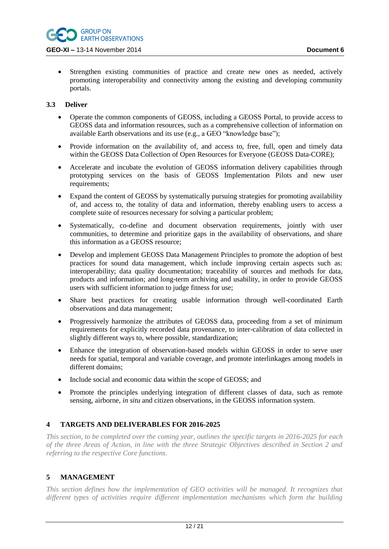

 Strengthen existing communities of practice and create new ones as needed, actively promoting interoperability and connectivity among the existing and developing community portals.

#### **3.3 Deliver**

- Operate the common components of GEOSS, including a GEOSS Portal, to provide access to GEOSS data and information resources, such as a comprehensive collection of information on available Earth observations and its use (e.g., a GEO "knowledge base");
- Provide information on the availability of, and access to, free, full, open and timely data within the GEOSS Data Collection of Open Resources for Everyone (GEOSS Data-CORE);
- Accelerate and incubate the evolution of GEOSS information delivery capabilities through prototyping services on the basis of GEOSS Implementation Pilots and new user requirements;
- Expand the content of GEOSS by systematically pursuing strategies for promoting availability of, and access to, the totality of data and information, thereby enabling users to access a complete suite of resources necessary for solving a particular problem;
- Systematically, co-define and document observation requirements, jointly with user communities, to determine and prioritize gaps in the availability of observations, and share this information as a GEOSS resource;
- Develop and implement GEOSS Data Management Principles to promote the adoption of best practices for sound data management, which include improving certain aspects such as: interoperability; data quality documentation; traceability of sources and methods for data, products and information; and long-term archiving and usability, in order to provide GEOSS users with sufficient information to judge fitness for use;
- Share best practices for creating usable information through well-coordinated Earth observations and data management;
- Progressively harmonize the attributes of GEOSS data, proceeding from a set of minimum requirements for explicitly recorded data provenance, to inter-calibration of data collected in slightly different ways to, where possible, standardization;
- Enhance the integration of observation-based models within GEOSS in order to serve user needs for spatial, temporal and variable coverage, and promote interlinkages among models in different domains;
- Include social and economic data within the scope of GEOSS; and
- Promote the principles underlying integration of different classes of data, such as remote sensing, airborne, *in situ* and citizen observations, in the GEOSS information system.

# **4 TARGETS AND DELIVERABLES FOR 2016-2025**

*This section, to be completed over the coming year, outlines the specific targets in 2016-2025 for each of the three Areas of Action, in line with the three Strategic Objectives described in Section 2 and referring to the respective Core functions.*

# **5 MANAGEMENT**

*This section defines how the implementation of GEO activities will be managed. It recognizes that different types of activities require different implementation mechanisms which form the building*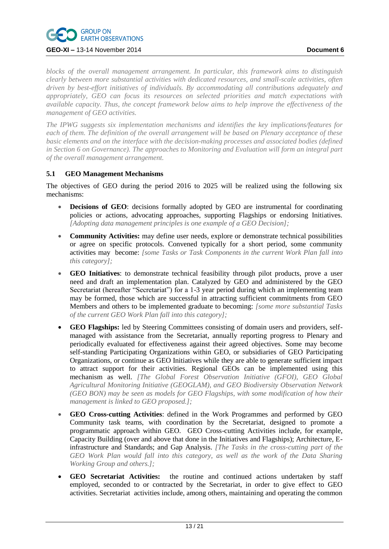*blocks of the overall management arrangement. In particular, this framework aims to distinguish clearly between more substantial activities with dedicated resources, and small-scale activities, often driven by best-effort initiatives of individuals. By accommodating all contributions adequately and appropriately, GEO can focus its resources on selected priorities and match expectations with available capacity. Thus, the concept framework below aims to help improve the effectiveness of the management of GEO activities.*

*The IPWG suggests six implementation mechanisms and identifies the key implications/features for each of them. The definition of the overall arrangement will be based on Plenary acceptance of these basic elements and on the interface with the decision-making processes and associated bodies (defined in Section 6 on Governance). The approaches to Monitoring and Evaluation will form an integral part of the overall management arrangement.*

# **5.1 GEO Management Mechanisms**

The objectives of GEO during the period 2016 to 2025 will be realized using the following six mechanisms:

- **Decisions of GEO:** decisions formally adopted by GEO are instrumental for coordinating policies or actions, advocating approaches, supporting Flagships or endorsing Initiatives. *[Adopting data management principles is one example of a GEO Decision];*
- **Community Activities:** may define user needs, explore or demonstrate technical possibilities or agree on specific protocols. Convened typically for a short period, some community activities may become: *[some Tasks or Task Components in the current Work Plan fall into this category];*
- **GEO Initiatives**: to demonstrate technical feasibility through pilot products, prove a user need and draft an implementation plan. Catalyzed by GEO and administered by the GEO Secretariat (hereafter "Secretariat") for a 1-3 year period during which an implementing team may be formed, those which are successful in attracting sufficient commitments from GEO Members and others to be implemented graduate to becoming: *[some more substantial Tasks of the current GEO Work Plan fall into this category];*
- **GEO Flagships:** led by Steering Committees consisting of domain users and providers, selfmanaged with assistance from the Secretariat, annually reporting progress to Plenary and periodically evaluated for effectiveness against their agreed objectives. Some may become self-standing Participating Organizations within GEO, or subsidiaries of GEO Participating Organizations, or continue as GEO Initiatives while they are able to generate sufficient impact to attract support for their activities. Regional GEOs can be implemented using this mechanism as well. *[The Global Forest Observation Initiative (GFOI), GEO Global Agricultural Monitoring Initiative (GEOGLAM), and GEO Biodiversity Observation Network (GEO BON) may be seen as models for GEO Flagships, with some modification of how their management is linked to GEO proposed.];*
- **GEO Cross-cutting Activities**: defined in the Work Programmes and performed by GEO Community task teams, with coordination by the Secretariat, designed to promote a programmatic approach within GEO. GEO Cross-cutting Activities include, for example, Capacity Building (over and above that done in the Initiatives and Flagships); Architecture, Einfrastructure and Standards; and Gap Analysis. *[The Tasks in the cross-cutting part of the GEO Work Plan would fall into this category, as well as the work of the Data Sharing Working Group and others.];*
- **GEO Secretariat Activities:** the routine and continued actions undertaken by staff employed, seconded to or contracted by the Secretariat, in order to give effect to GEO activities. Secretariat activities include, among others, maintaining and operating the common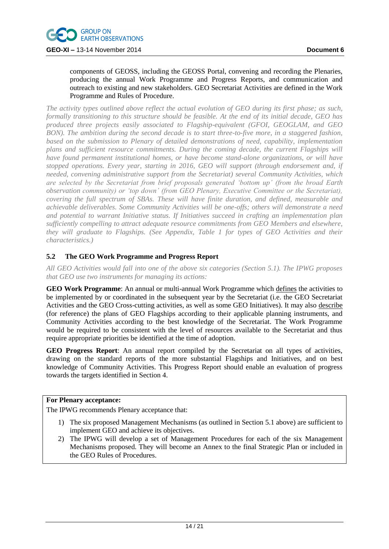#### components of GEOSS, including the GEOSS Portal, convening and recording the Plenaries, producing the annual Work Programme and Progress Reports, and communication and outreach to existing and new stakeholders. GEO Secretariat Activities are defined in the Work Programme and Rules of Procedure.

*The activity types outlined above reflect the actual evolution of GEO during its first phase; as such, formally transitioning to this structure should be feasible. At the end of its initial decade, GEO has produced three projects easily associated to Flagship-equivalent (GFOI, GEOGLAM, and GEO BON). The ambition during the second decade is to start three-to-five more, in a staggered fashion, based on the submission to Plenary of detailed demonstrations of need, capability, implementation plans and sufficient resource commitments. During the coming decade, the current Flagships will have found permanent institutional homes, or have become stand-alone organizations, or will have stopped operations. Every year, starting in 2016, GEO will support (through endorsement and, if needed, convening administrative support from the Secretariat) several Community Activities, which are selected by the Secretariat from brief proposals generated "bottom up" (from the broad Earth observation community) or "top down" (from GEO Plenary, Executive Committee or the Secretariat), covering the full spectrum of SBAs. These will have finite duration, and defined, measurable and achievable deliverables. Some Community Activities will be one-offs; others will demonstrate a need and potential to warrant Initiative status. If Initiatives succeed in crafting an implementation plan sufficiently compelling to attract adequate resource commitments from GEO Members and elsewhere, they will graduate to Flagships. (See Appendix, Table 1 for types of GEO Activities and their characteristics.)*

# **5.2 The GEO Work Programme and Progress Report**

*All GEO Activities would fall into one of the above six categories (Section 5.1). The IPWG proposes that GEO use two instruments for managing its actions:* 

**GEO Work Programme**: An annual or multi-annual Work Programme which defines the activities to be implemented by or coordinated in the subsequent year by the Secretariat (i.e. the GEO Secretariat Activities and the GEO Cross-cutting activities, as well as some GEO Initiatives). It may also describe (for reference) the plans of GEO Flagships according to their applicable planning instruments, and Community Activities according to the best knowledge of the Secretariat. The Work Programme would be required to be consistent with the level of resources available to the Secretariat and thus require appropriate priorities be identified at the time of adoption.

**GEO Progress Report**: An annual report compiled by the Secretariat on all types of activities, drawing on the standard reports of the more substantial Flagships and Initiatives, and on best knowledge of Community Activities. This Progress Report should enable an evaluation of progress towards the targets identified in Section 4.

#### **For Plenary acceptance:**

The IPWG recommends Plenary acceptance that:

- 1) The six proposed Management Mechanisms (as outlined in Section 5.1 above) are sufficient to implement GEO and achieve its objectives.
- 2) The IPWG will develop a set of Management Procedures for each of the six Management Mechanisms proposed. They will become an Annex to the final Strategic Plan or included in the GEO Rules of Procedures.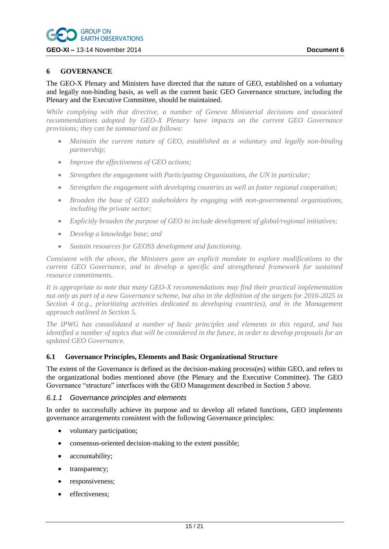#### **6 GOVERNANCE**

The GEO-X Plenary and Ministers have directed that the nature of GEO, established on a voluntary and legally non-binding basis, as well as the current basic GEO Governance structure, including the Plenary and the Executive Committee, should be maintained.

*While complying with that directive, a number of Geneva Ministerial decisions and associated recommendations adopted by GEO-X Plenary have impacts on the current GEO Governance provisions; they can be summarized as follows:*

- *Maintain the current nature of GEO, established as a voluntary and legally non-binding partnership;*
- *Improve the effectiveness of GEO actions;*
- *Strengthen the engagement with Participating Organizations, the UN in particular;*
- Strengthen the engagement with developing countries as well as foster regional cooperation;
- *Broaden the base of GEO stakeholders by engaging with non-governmental organizations, including the private sector;*
- *Explicitly broaden the purpose of GEO to include development of global/regional initiatives;*
- *Develop a knowledge base; and*
- *Sustain resources for GEOSS development and functioning.*

*Consistent with the above, the Ministers gave an explicit mandate to explore modifications to the current GEO Governance, and to develop a specific and strengthened framework for sustained resource commitments.*

*It is appropriate to note that many GEO-X recommendations may find their practical implementation not only as part of a new Governance scheme, but also in the definition of the targets for 2016-2025 in Section 4 (e.g., prioritizing activities dedicated to developing countries), and in the Management approach outlined in Section 5.* 

*The IPWG has consolidated a number of basic principles and elements in this regard, and has identified a number of topics that will be considered in the future, in order to develop proposals for an updated GEO Governance.*

#### **6.1 Governance Principles, Elements and Basic Organizational Structure**

The extent of the Governance is defined as the decision-making process(es) within GEO, and refers to the organizational bodies mentioned above (the Plenary and the Executive Committee). The GEO Governance "structure" interfaces with the GEO Management described in Section 5 above.

#### *6.1.1 Governance principles and elements*

In order to successfully achieve its purpose and to develop all related functions, GEO implements governance arrangements consistent with the following Governance principles:

- voluntary participation;
- consensus-oriented decision-making to the extent possible;
- accountability;
- transparency;
- responsiveness;
- effectiveness;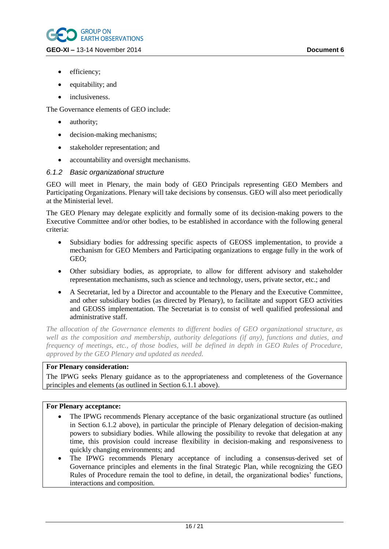- efficiency;
- equitability; and
- inclusiveness.

The Governance elements of GEO include:

- authority;
- decision-making mechanisms;
- stakeholder representation; and
- accountability and oversight mechanisms.

#### *6.1.2 Basic organizational structure*

GEO will meet in Plenary, the main body of GEO Principals representing GEO Members and Participating Organizations. Plenary will take decisions by consensus. GEO will also meet periodically at the Ministerial level.

The GEO Plenary may delegate explicitly and formally some of its decision-making powers to the Executive Committee and/or other bodies, to be established in accordance with the following general criteria:

- Subsidiary bodies for addressing specific aspects of GEOSS implementation, to provide a mechanism for GEO Members and Participating organizations to engage fully in the work of GEO;
- Other subsidiary bodies, as appropriate, to allow for different advisory and stakeholder representation mechanisms, such as science and technology, users, private sector, etc.; and
- A Secretariat, led by a Director and accountable to the Plenary and the Executive Committee, and other subsidiary bodies (as directed by Plenary), to facilitate and support GEO activities and GEOSS implementation. The Secretariat is to consist of well qualified professional and administrative staff.

*The allocation of the Governance elements to different bodies of GEO organizational structure, as well as the composition and membership, authority delegations (if any), functions and duties, and frequency of meetings, etc., of those bodies, will be defined in depth in GEO Rules of Procedure, approved by the GEO Plenary and updated as needed.*

# **For Plenary consideration:**

The IPWG seeks Plenary guidance as to the appropriateness and completeness of the Governance principles and elements (as outlined in Section 6.1.1 above).

#### **For Plenary acceptance:**

- The IPWG recommends Plenary acceptance of the basic organizational structure (as outlined in Section 6.1.2 above), in particular the principle of Plenary delegation of decision-making powers to subsidiary bodies. While allowing the possibility to revoke that delegation at any time, this provision could increase flexibility in decision-making and responsiveness to quickly changing environments; and
- The IPWG recommends Plenary acceptance of including a consensus-derived set of Governance principles and elements in the final Strategic Plan, while recognizing the GEO Rules of Procedure remain the tool to define, in detail, the organizational bodies' functions, interactions and composition.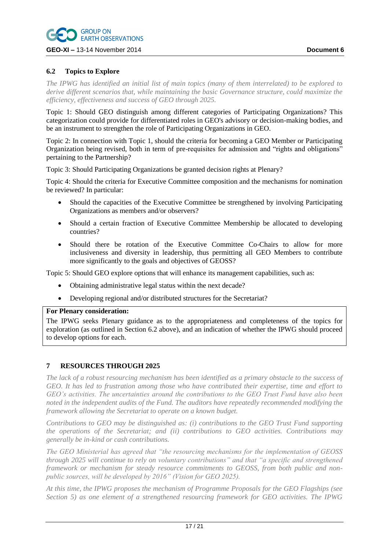# **6.2 Topics to Explore**

*The IPWG has identified an initial list of main topics (many of them interrelated) to be explored to derive different scenarios that, while maintaining the basic Governance structure, could maximize the efficiency, effectiveness and success of GEO through 2025.*

Topic 1: Should GEO distinguish among different categories of Participating Organizations? This categorization could provide for differentiated roles in GEO's advisory or decision-making bodies, and be an instrument to strengthen the role of Participating Organizations in GEO.

Topic 2: In connection with Topic 1, should the criteria for becoming a GEO Member or Participating Organization being revised, both in term of pre-requisites for admission and "rights and obligations" pertaining to the Partnership?

Topic 3: Should Participating Organizations be granted decision rights at Plenary?

Topic 4: Should the criteria for Executive Committee composition and the mechanisms for nomination be reviewed? In particular:

- Should the capacities of the Executive Committee be strengthened by involving Participating Organizations as members and/or observers?
- Should a certain fraction of Executive Committee Membership be allocated to developing countries?
- Should there be rotation of the Executive Committee Co-Chairs to allow for more inclusiveness and diversity in leadership, thus permitting all GEO Members to contribute more significantly to the goals and objectives of GEOSS?

Topic 5: Should GEO explore options that will enhance its management capabilities, such as:

- Obtaining administrative legal status within the next decade?
- Developing regional and/or distributed structures for the Secretariat?

#### **For Plenary consideration:**

The IPWG seeks Plenary guidance as to the appropriateness and completeness of the topics for exploration (as outlined in Section 6.2 above), and an indication of whether the IPWG should proceed to develop options for each.

# **7 RESOURCES THROUGH 2025**

*The lack of a robust resourcing mechanism has been identified as a primary obstacle to the success of GEO. It has led to frustration among those who have contributed their expertise, time and effort to GEO"s activities. The uncertainties around the contributions to the GEO Trust Fund have also been noted in the independent audits of the Fund. The auditors have repeatedly recommended modifying the framework allowing the Secretariat to operate on a known budget.*

*Contributions to GEO may be distinguished as: (i) contributions to the GEO Trust Fund supporting the operations of the Secretariat; and (ii) contributions to GEO activities. Contributions may generally be in-kind or cash contributions.*

*The GEO Ministerial has agreed that "the resourcing mechanisms for the implementation of GEOSS through 2025 will continue to rely on voluntary contributions" and that "a specific and strengthened framework or mechanism for steady resource commitments to GEOSS, from both public and nonpublic sources, will be developed by 2016" (Vision for GEO 2025).*

*At this time, the IPWG proposes the mechanism of Programme Proposals for the GEO Flagships (see Section 5) as one element of a strengthened resourcing framework for GEO activities. The IPWG*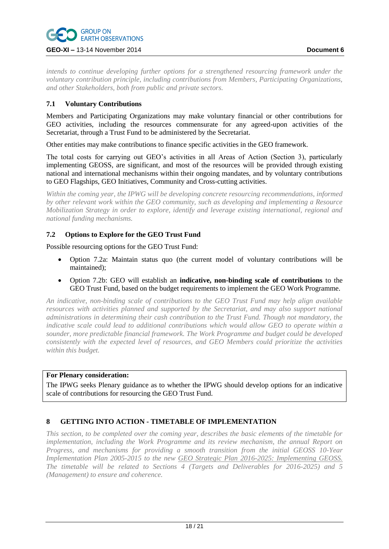*intends to continue developing further options for a strengthened resourcing framework under the voluntary contribution principle, including contributions from Members, Participating Organizations, and other Stakeholders, both from public and private sectors.*

# **7.1 Voluntary Contributions**

Members and Participating Organizations may make voluntary financial or other contributions for GEO activities, including the resources commensurate for any agreed-upon activities of the Secretariat, through a Trust Fund to be administered by the Secretariat.

Other entities may make contributions to finance specific activities in the GEO framework.

The total costs for carrying out GEO"s activities in all Areas of Action (Section 3), particularly implementing GEOSS, are significant, and most of the resources will be provided through existing national and international mechanisms within their ongoing mandates, and by voluntary contributions to GEO Flagships, GEO Initiatives, Community and Cross-cutting activities.

*Within the coming year, the IPWG will be developing concrete resourcing recommendations, informed by other relevant work within the GEO community, such as developing and implementing a Resource Mobilization Strategy in order to explore, identify and leverage existing international, regional and national funding mechanisms.* 

# **7.2 Options to Explore for the GEO Trust Fund**

Possible resourcing options for the GEO Trust Fund:

- Option 7.2a: Maintain status quo (the current model of voluntary contributions will be maintained);
- Option 7.2b: GEO will establish an **indicative, non-binding scale of contributions** to the GEO Trust Fund, based on the budget requirements to implement the GEO Work Programme.

*An indicative, non-binding scale of contributions to the GEO Trust Fund may help align available resources with activities planned and supported by the Secretariat, and may also support national administrations in determining their cash contribution to the Trust Fund. Though not mandatory, the indicative scale could lead to additional contributions which would allow GEO to operate within a sounder, more predictable financial framework. The Work Programme and budget could be developed consistently with the expected level of resources, and GEO Members could prioritize the activities within this budget.* 

#### **For Plenary consideration:**

The IPWG seeks Plenary guidance as to whether the IPWG should develop options for an indicative scale of contributions for resourcing the GEO Trust Fund.

# **8 GETTING INTO ACTION - TIMETABLE OF IMPLEMENTATION**

*This section, to be completed over the coming year, describes the basic elements of the timetable for implementation, including the Work Programme and its review mechanism, the annual Report on Progress, and mechanisms for providing a smooth transition from the initial GEOSS 10-Year Implementation Plan 2005-2015 to the new GEO Strategic Plan 2016-2025: Implementing GEOSS. The timetable will be related to Sections 4 (Targets and Deliverables for 2016-2025) and 5 (Management) to ensure and coherence.*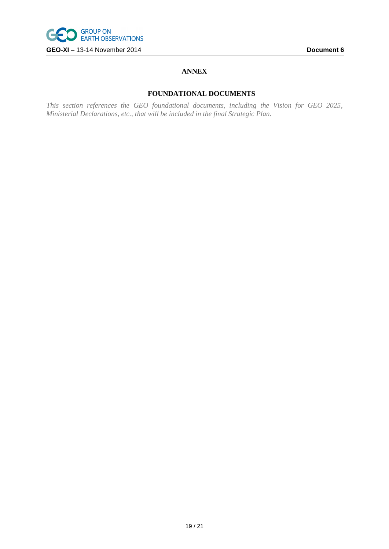

## **ANNEX**

### **FOUNDATIONAL DOCUMENTS**

*This section references the GEO foundational documents, including the Vision for GEO 2025, Ministerial Declarations, etc., that will be included in the final Strategic Plan.*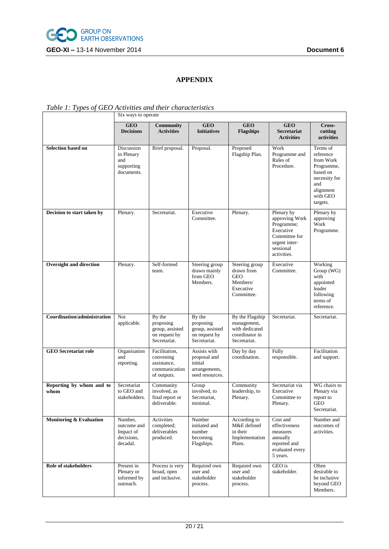

# **APPENDIX**

| 10001111<br>$\sim$ $\sim$ $\sim$ | Six ways to operate                                           |                                                                           |                                                                             |                                                                                    |                                                                                                                       |                                                                                                                           |  |  |  |  |
|----------------------------------|---------------------------------------------------------------|---------------------------------------------------------------------------|-----------------------------------------------------------------------------|------------------------------------------------------------------------------------|-----------------------------------------------------------------------------------------------------------------------|---------------------------------------------------------------------------------------------------------------------------|--|--|--|--|
|                                  | <b>GEO</b><br><b>Decisions</b>                                | Community<br><b>Activities</b>                                            | <b>GEO</b><br><b>Initiatives</b>                                            | <b>GEO</b><br>Flagships                                                            | <b>GEO</b><br><b>Secretariat</b><br><b>Activities</b>                                                                 | Cross-<br>cutting<br>activities                                                                                           |  |  |  |  |
| <b>Selection based on</b>        | Discussion<br>in Plenary<br>and<br>supporting<br>documents.   | Brief proposal.                                                           | Proposal.                                                                   | Proposed<br>Flagship Plan.                                                         | Work<br>Programme and<br>Rules of<br>Procedure.                                                                       | Terms of<br>reference<br>from Work<br>Programme,<br>based on<br>necessity for<br>and<br>alignment<br>with GEO<br>targets. |  |  |  |  |
| Decision to start taken by       | Plenary.                                                      | Secretariat.                                                              | Executive<br>Committee.                                                     | Plenary.                                                                           | Plenary by<br>approving Work<br>Programme;<br>Executive<br>Committee for<br>urgent inter-<br>sessional<br>activities. | Plenary by<br>approving<br>Work<br>Programme.                                                                             |  |  |  |  |
| <b>Oversight and direction</b>   | Plenary.                                                      | Self-formed<br>team.                                                      | Steering group<br>drawn mainly<br>from GEO<br>Members.                      | Steering group<br>drawn from<br><b>GEO</b><br>Members/<br>Executive<br>Committee.  | Executive<br>Committee.                                                                                               | Working<br>Group (WG)<br>with<br>appointed<br>leader<br>following<br>terms of<br>reference.                               |  |  |  |  |
| Coordination/administration      | Not<br>applicable.                                            | By the<br>proposing<br>group, assisted<br>on request by<br>Secretariat.   | By the<br>proposing<br>group, assisted<br>on request by<br>Secretariat.     | By the Flagship<br>management,<br>with dedicated<br>coordinator in<br>Secretariat. | Secretariat.                                                                                                          | Secretariat.                                                                                                              |  |  |  |  |
| <b>GEO Secretariat role</b>      | Organisation<br>and<br>reporting.                             | Facilitation,<br>convening<br>assistance,<br>communication<br>of outputs. | Assists with<br>proposal and<br>initial<br>arrangements,<br>seed resources. | Day by day<br>coordination.                                                        | Fully<br>responsible.                                                                                                 | Facilitation<br>and support.                                                                                              |  |  |  |  |
| Reporting by whom and to<br>whom | Secretariat<br>to GEO and<br>stakeholders.                    | Community<br>involved, as<br>final report or<br>deliverable.              | Group<br>involved, to<br>Secretariat,<br>minimal.                           | Community<br>leadership, to<br>Plenary.                                            | Secretariat via<br>Executive<br>Committee to<br>Plenary.                                                              | WG chairs to<br>Plenary via<br>report to<br><b>GEO</b><br>Secretariat.                                                    |  |  |  |  |
| Monitoring & Evaluation          | Number,<br>outcome and<br>Impact of<br>decisions,<br>decadal. | Activities<br>completed;<br>deliverables<br>produced.                     | Number<br>initiated and<br>number<br>becoming<br>Flagships.                 | According to<br>M&E defined<br>in their<br>Implementation<br>Plans.                | Cost and<br>effectiveness<br>measures<br>annually<br>reported and<br>evaluated every<br>5 years.                      | Number and<br>outcomes of<br>activities.                                                                                  |  |  |  |  |
| <b>Role of stakeholders</b>      | Present in<br>Plenary or<br>informed by<br>outreach.          | Process is very<br>broad, open<br>and inclusive.                          | Required own<br>user and<br>stakeholder<br>process.                         | Required own<br>user and<br>stakeholder<br>process.                                | GEO is<br>stakeholder.                                                                                                | Often<br>desirable to<br>be inclusive<br>beyond GEO<br>Members.                                                           |  |  |  |  |

*Table 1: Types of GEO Activities and their characteristics*